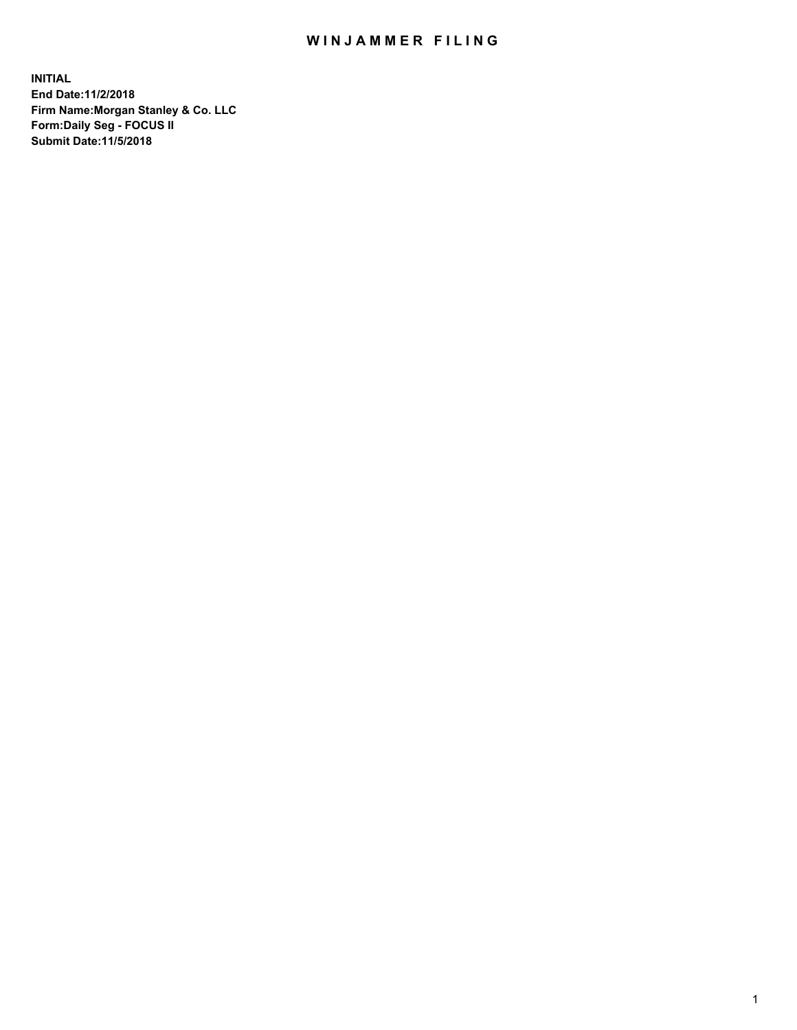## WIN JAMMER FILING

**INITIAL End Date:11/2/2018 Firm Name:Morgan Stanley & Co. LLC Form:Daily Seg - FOCUS II Submit Date:11/5/2018**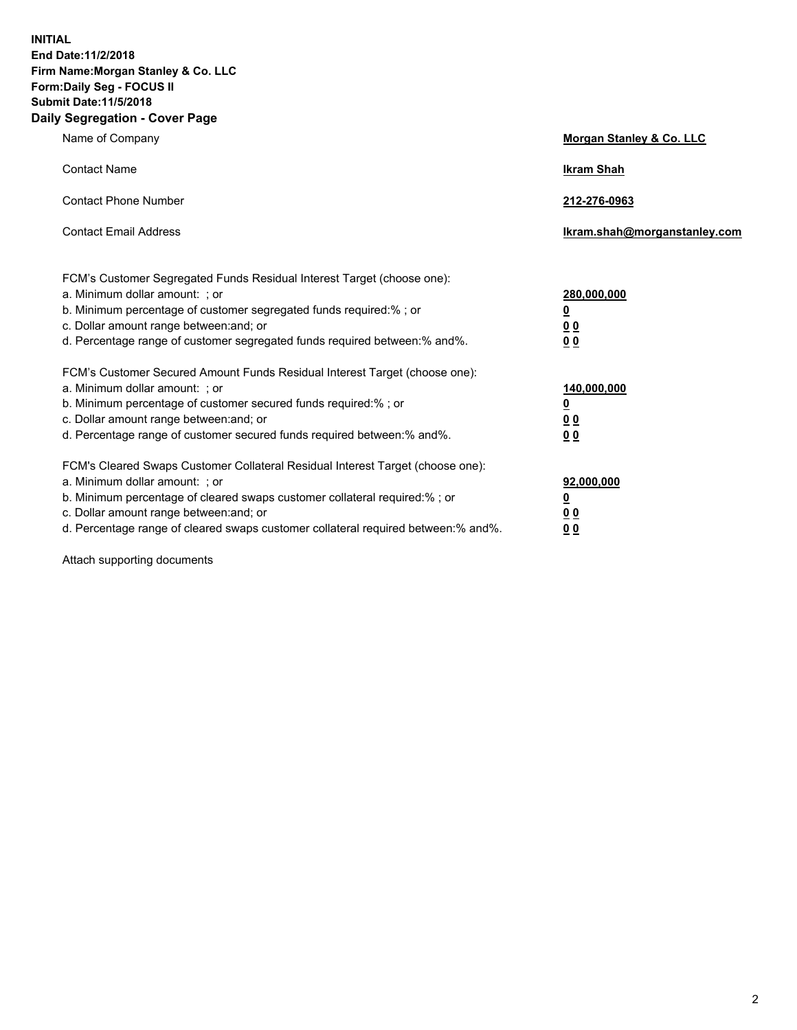**INITIAL End Date:11/2/2018 Firm Name:Morgan Stanley & Co. LLC Form:Daily Seg - FOCUS II Submit Date:11/5/2018 Daily Segregation - Cover Page**

| Name of Company                                                                   | Morgan Stanley & Co. LLC     |
|-----------------------------------------------------------------------------------|------------------------------|
| <b>Contact Name</b>                                                               | <b>Ikram Shah</b>            |
| <b>Contact Phone Number</b>                                                       | 212-276-0963                 |
| <b>Contact Email Address</b>                                                      | Ikram.shah@morganstanley.com |
| FCM's Customer Segregated Funds Residual Interest Target (choose one):            |                              |
| a. Minimum dollar amount: ; or                                                    | 280,000,000                  |
| b. Minimum percentage of customer segregated funds required:% ; or                | <u>0</u>                     |
| c. Dollar amount range between: and; or                                           | <u>0 0</u>                   |
| d. Percentage range of customer segregated funds required between: % and %.       | 0 Q                          |
| FCM's Customer Secured Amount Funds Residual Interest Target (choose one):        |                              |
| a. Minimum dollar amount: ; or                                                    | 140,000,000                  |
| b. Minimum percentage of customer secured funds required:%; or                    | <u>0</u>                     |
| c. Dollar amount range between: and; or                                           | 0 <sub>0</sub>               |
| d. Percentage range of customer secured funds required between:% and%.            | 0 <sub>0</sub>               |
| FCM's Cleared Swaps Customer Collateral Residual Interest Target (choose one):    |                              |
| a. Minimum dollar amount: ; or                                                    | 92,000,000                   |
| b. Minimum percentage of cleared swaps customer collateral required:% ; or        | <u>0</u>                     |
| c. Dollar amount range between: and; or                                           | 0 Q                          |
| d. Percentage range of cleared swaps customer collateral required between:% and%. | 00                           |

Attach supporting documents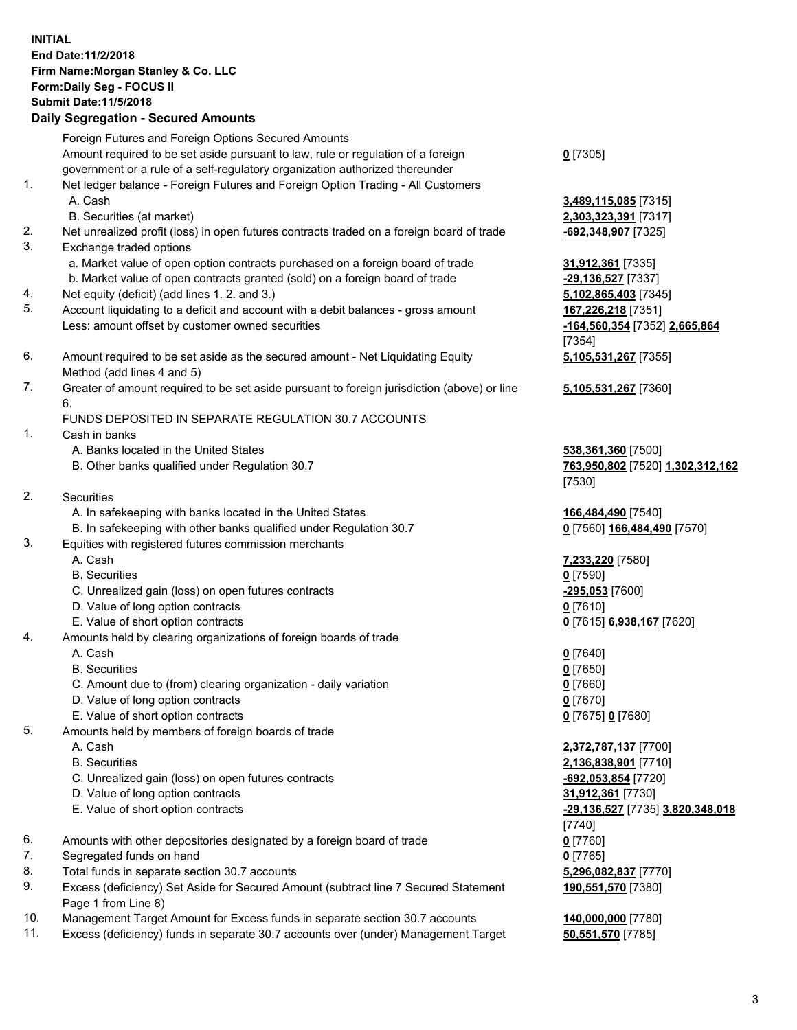## **INITIAL End Date:11/2/2018 Firm Name:Morgan Stanley & Co. LLC Form:Daily Seg - FOCUS II Submit Date:11/5/2018 Daily Segregation - Secured Amounts**

Foreign Futures and Foreign Options Secured Amounts Amount required to be set aside pursuant to law, rule or regulation of a foreign government or a rule of a self-regulatory organization authorized thereunder 1. Net ledger balance - Foreign Futures and Foreign Option Trading - All Customers A. Cash **3,489,115,085** [7315]

- B. Securities (at market) **2,303,323,391** [7317]
- 2. Net unrealized profit (loss) in open futures contracts traded on a foreign board of trade **-692,348,907** [7325]
- 3. Exchange traded options
	- a. Market value of open option contracts purchased on a foreign board of trade **31,912,361** [7335]
	- b. Market value of open contracts granted (sold) on a foreign board of trade **-29,136,527** [7337]
- 4. Net equity (deficit) (add lines 1. 2. and 3.) **5,102,865,403** [7345]
- 5. Account liquidating to a deficit and account with a debit balances gross amount **167,226,218** [7351] Less: amount offset by customer owned securities **-164,560,354** [7352] **2,665,864**
- 6. Amount required to be set aside as the secured amount Net Liquidating Equity Method (add lines 4 and 5)
- 7. Greater of amount required to be set aside pursuant to foreign jurisdiction (above) or line 6.

## FUNDS DEPOSITED IN SEPARATE REGULATION 30.7 ACCOUNTS

- 1. Cash in banks
	- A. Banks located in the United States **538,361,360** [7500]
	- B. Other banks qualified under Regulation 30.7 **763,950,802** [7520] **1,302,312,162**
- 2. Securities
	- A. In safekeeping with banks located in the United States **166,484,490** [7540]
	- B. In safekeeping with other banks qualified under Regulation 30.7 **0** [7560] **166,484,490** [7570]
- 3. Equities with registered futures commission merchants
	-
	- B. Securities **0** [7590]
	- C. Unrealized gain (loss) on open futures contracts **-295,053** [7600]
	- D. Value of long option contracts **0** [7610]
- E. Value of short option contracts **0** [7615] **6,938,167** [7620]
- 4. Amounts held by clearing organizations of foreign boards of trade
	- A. Cash **0** [7640]
	- B. Securities **0** [7650]
	- C. Amount due to (from) clearing organization daily variation **0** [7660]
	- D. Value of long option contracts **0** [7670]
	- E. Value of short option contracts **0** [7675] **0** [7680]
- 5. Amounts held by members of foreign boards of trade
	-
	-
	- C. Unrealized gain (loss) on open futures contracts **-692,053,854** [7720]
	- D. Value of long option contracts **31,912,361** [7730]
	- E. Value of short option contracts **-29,136,527** [7735] **3,820,348,018**
- 6. Amounts with other depositories designated by a foreign board of trade **0** [7760]
- 7. Segregated funds on hand **0** [7765]
- 8. Total funds in separate section 30.7 accounts **5,296,082,837** [7770]
- 9. Excess (deficiency) Set Aside for Secured Amount (subtract line 7 Secured Statement Page 1 from Line 8)
- 10. Management Target Amount for Excess funds in separate section 30.7 accounts **140,000,000** [7780]
- 11. Excess (deficiency) funds in separate 30.7 accounts over (under) Management Target **50,551,570** [7785]

**0** [7305]

[7354] **5,105,531,267** [7355]

**5,105,531,267** [7360]

[7530]

A. Cash **7,233,220** [7580]

 A. Cash **2,372,787,137** [7700] B. Securities **2,136,838,901** [7710] [7740] **190,551,570** [7380]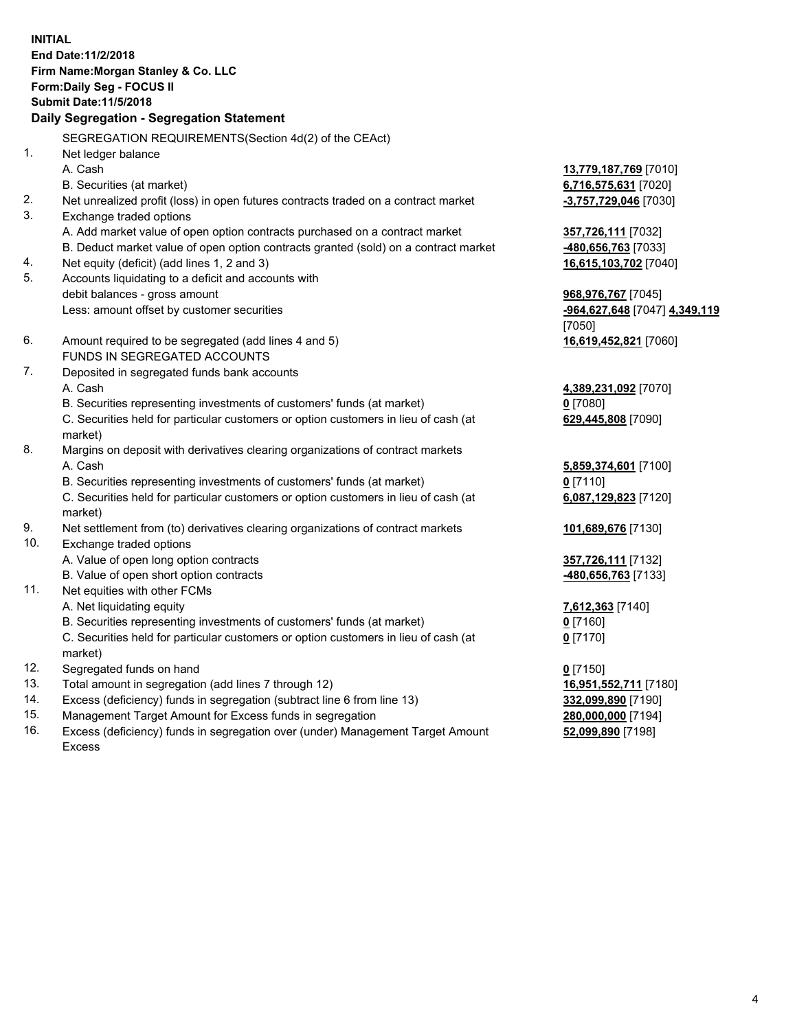**INITIAL End Date:11/2/2018 Firm Name:Morgan Stanley & Co. LLC Form:Daily Seg - FOCUS II Submit Date:11/5/2018 Daily Segregation - Segregation Statement** SEGREGATION REQUIREMENTS(Section 4d(2) of the CEAct) 1. Net ledger balance A. Cash **13,779,187,769** [7010] B. Securities (at market) **6,716,575,631** [7020] 2. Net unrealized profit (loss) in open futures contracts traded on a contract market **-3,757,729,046** [7030] 3. Exchange traded options A. Add market value of open option contracts purchased on a contract market **357,726,111** [7032] B. Deduct market value of open option contracts granted (sold) on a contract market **-480,656,763** [7033] 4. Net equity (deficit) (add lines 1, 2 and 3) **16,615,103,702** [7040] 5. Accounts liquidating to a deficit and accounts with debit balances - gross amount **968,976,767** [7045] Less: amount offset by customer securities **-964,627,648** [7047] **4,349,119** [7050] 6. Amount required to be segregated (add lines 4 and 5) **16,619,452,821** [7060] FUNDS IN SEGREGATED ACCOUNTS 7. Deposited in segregated funds bank accounts A. Cash **4,389,231,092** [7070] B. Securities representing investments of customers' funds (at market) **0** [7080] C. Securities held for particular customers or option customers in lieu of cash (at market) **629,445,808** [7090] 8. Margins on deposit with derivatives clearing organizations of contract markets A. Cash **5,859,374,601** [7100] B. Securities representing investments of customers' funds (at market) **0** [7110] C. Securities held for particular customers or option customers in lieu of cash (at market) **6,087,129,823** [7120] 9. Net settlement from (to) derivatives clearing organizations of contract markets **101,689,676** [7130] 10. Exchange traded options A. Value of open long option contracts **357,726,111** [7132] B. Value of open short option contracts **-480,656,763** [7133] 11. Net equities with other FCMs A. Net liquidating equity **7,612,363** [7140] B. Securities representing investments of customers' funds (at market) **0** [7160] C. Securities held for particular customers or option customers in lieu of cash (at market) **0** [7170] 12. Segregated funds on hand **0** [7150] 13. Total amount in segregation (add lines 7 through 12) **16,951,552,711** [7180] 14. Excess (deficiency) funds in segregation (subtract line 6 from line 13) **332,099,890** [7190]

- 15. Management Target Amount for Excess funds in segregation **280,000,000** [7194]
- 16. Excess (deficiency) funds in segregation over (under) Management Target Amount Excess

**52,099,890** [7198]